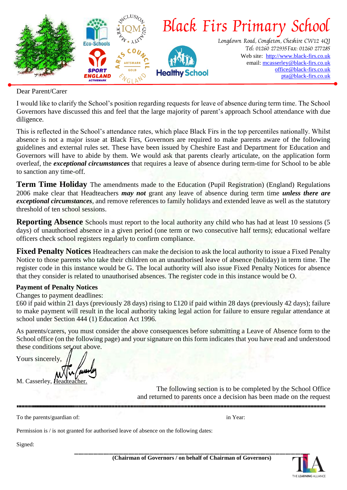

Dear Parent/Carer

I would like to clarify the School's position regarding requests for leave of absence during term time. The School Governors have discussed this and feel that the large majority of parent's approach School attendance with due diligence.

This is reflected in the School's attendance rates, which place Black Firs in the top percentiles nationally. Whilst absence is not a major issue at Black Firs, Governors are required to make parents aware of the following guidelines and external rules set. These have been issued by Cheshire East and Department for Education and Governors will have to abide by them. We would ask that parents clearly articulate, on the application form overleaf, the *exceptional circumstances* that requires a leave of absence during term-time for School to be able to sanction any time-off.

**Term Time Holiday** The amendments made to the Education (Pupil Registration) (England) Regulations 2006 make clear that Headteachers *may not* grant any leave of absence during term time *unless there are exceptional circumstances*, and remove references to family holidays and extended leave as well as the statutory threshold of ten school sessions.

**Reporting Absence** Schools must report to the local authority any child who has had at least 10 sessions (5) days) of unauthorised absence in a given period (one term or two consecutive half terms); educational welfare officers check school registers regularly to confirm compliance.

**Fixed Penalty Notices** Headteachers can make the decision to ask the local authority to issue a Fixed Penalty Notice to those parents who take their children on an unauthorised leave of absence (holiday) in term time. The register code in this instance would be G. The local authority will also issue Fixed Penalty Notices for absence that they consider is related to unauthorised absences. The register code in this instance would be O.

## **Payment of Penalty Notices**

Changes to payment deadlines:

£60 if paid within 21 days (previously 28 days) rising to £120 if paid within 28 days (previously 42 days); failure to make payment will result in the local authority taking legal action for failure to ensure regular attendance at school under Section 444 (1) Education Act 1996.

As parents/carers, you must consider the above consequences before submitting a Leave of Absence form to the School office (on the following page) and your signature on this form indicates that you have read and understood these conditions set out above.

Yours sincerely, M. Casserley, Head

The following section is to be completed by the School Office and returned to parents once a decision has been made on the request

To the parents/guardian of: in Year: in Year: in Year: in Year: in Year: in Year:

Permission is / is not granted for authorised leave of absence on the following dates:

Signed: